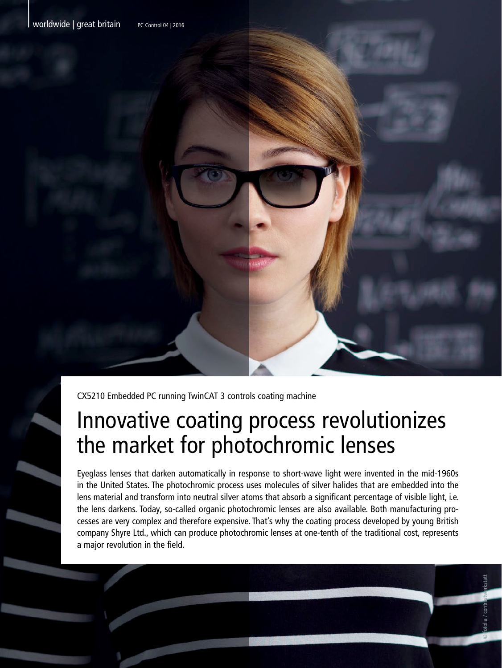

CX5210 Embedded PC running TwinCAT 3 controls coating machine

## Innovative coating process revolutionizes the market for photochromic lenses

Eyeglass lenses that darken automatically in response to short-wave light were invented in the mid-1960s in the United States. The photochromic process uses molecules of silver halides that are embedded into the lens material and transform into neutral silver atoms that absorb a significant percentage of visible light, i.e. the lens darkens. Today, so-called organic photochromic lenses are also available. Both manufacturing processes are very complex and therefore expensive. That's why the coating process developed by young British company Shyre Ltd., which can produce photochromic lenses at one-tenth of the traditional cost, represents a major revolution in the field.

© fotolia / contrastwerkstatt